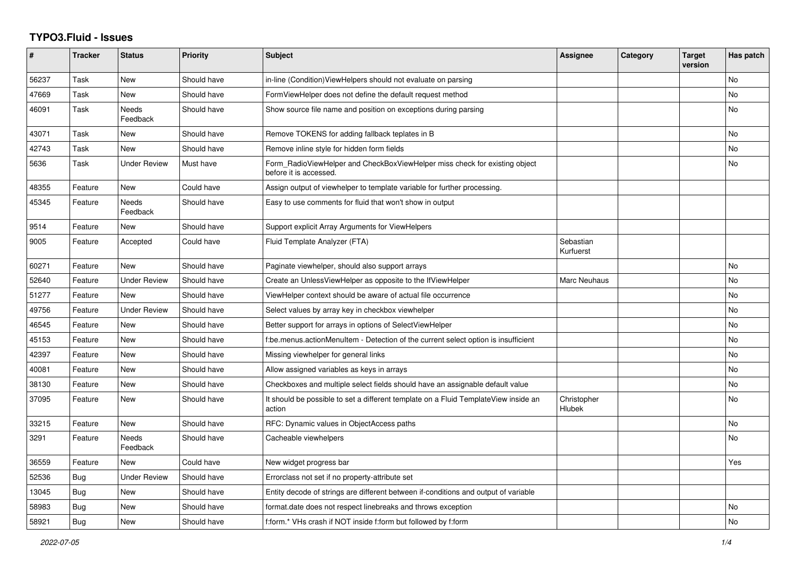## **TYPO3.Fluid - Issues**

| #     | <b>Tracker</b> | <b>Status</b>            | Priority    | Subject                                                                                              | Assignee               | Category | <b>Target</b><br>version | Has patch |
|-------|----------------|--------------------------|-------------|------------------------------------------------------------------------------------------------------|------------------------|----------|--------------------------|-----------|
| 56237 | Task           | <b>New</b>               | Should have | in-line (Condition) View Helpers should not evaluate on parsing                                      |                        |          |                          | No        |
| 47669 | Task           | New                      | Should have | FormViewHelper does not define the default request method                                            |                        |          |                          | No        |
| 46091 | Task           | Needs<br>Feedback        | Should have | Show source file name and position on exceptions during parsing                                      |                        |          |                          | No        |
| 43071 | Task           | New                      | Should have | Remove TOKENS for adding fallback teplates in B                                                      |                        |          |                          | No        |
| 42743 | Task           | <b>New</b>               | Should have | Remove inline style for hidden form fields                                                           |                        |          |                          | No        |
| 5636  | Task           | <b>Under Review</b>      | Must have   | Form RadioViewHelper and CheckBoxViewHelper miss check for existing object<br>before it is accessed. |                        |          |                          | No        |
| 48355 | Feature        | <b>New</b>               | Could have  | Assign output of viewhelper to template variable for further processing.                             |                        |          |                          |           |
| 45345 | Feature        | Needs<br>Feedback        | Should have | Easy to use comments for fluid that won't show in output                                             |                        |          |                          |           |
| 9514  | Feature        | New                      | Should have | Support explicit Array Arguments for ViewHelpers                                                     |                        |          |                          |           |
| 9005  | Feature        | Accepted                 | Could have  | Fluid Template Analyzer (FTA)                                                                        | Sebastian<br>Kurfuerst |          |                          |           |
| 60271 | Feature        | <b>New</b>               | Should have | Paginate viewhelper, should also support arrays                                                      |                        |          |                          | No        |
| 52640 | Feature        | <b>Under Review</b>      | Should have | Create an UnlessViewHelper as opposite to the IfViewHelper                                           | Marc Neuhaus           |          |                          | No        |
| 51277 | Feature        | New                      | Should have | ViewHelper context should be aware of actual file occurrence                                         |                        |          |                          | No        |
| 49756 | Feature        | <b>Under Review</b>      | Should have | Select values by array key in checkbox viewhelper                                                    |                        |          |                          | No        |
| 46545 | Feature        | <b>New</b>               | Should have | Better support for arrays in options of SelectViewHelper                                             |                        |          |                          | No        |
| 45153 | Feature        | <b>New</b>               | Should have | f:be.menus.actionMenuItem - Detection of the current select option is insufficient                   |                        |          |                          | No.       |
| 42397 | Feature        | New                      | Should have | Missing viewhelper for general links                                                                 |                        |          |                          | No        |
| 40081 | Feature        | New                      | Should have | Allow assigned variables as keys in arrays                                                           |                        |          |                          | No        |
| 38130 | Feature        | <b>New</b>               | Should have | Checkboxes and multiple select fields should have an assignable default value                        |                        |          |                          | No        |
| 37095 | Feature        | New                      | Should have | It should be possible to set a different template on a Fluid TemplateView inside an<br>action        | Christopher<br>Hlubek  |          |                          | No        |
| 33215 | Feature        | <b>New</b>               | Should have | RFC: Dynamic values in ObjectAccess paths                                                            |                        |          |                          | No        |
| 3291  | Feature        | <b>Needs</b><br>Feedback | Should have | Cacheable viewhelpers                                                                                |                        |          |                          | No.       |
| 36559 | Feature        | <b>New</b>               | Could have  | New widget progress bar                                                                              |                        |          |                          | Yes       |
| 52536 | Bug            | <b>Under Review</b>      | Should have | Errorclass not set if no property-attribute set                                                      |                        |          |                          |           |
| 13045 | Bug            | <b>New</b>               | Should have | Entity decode of strings are different between if-conditions and output of variable                  |                        |          |                          |           |
| 58983 | <b>Bug</b>     | New                      | Should have | format.date does not respect linebreaks and throws exception                                         |                        |          |                          | No        |
| 58921 | Bug            | <b>New</b>               | Should have | f:form.* VHs crash if NOT inside f:form but followed by f:form                                       |                        |          |                          | No        |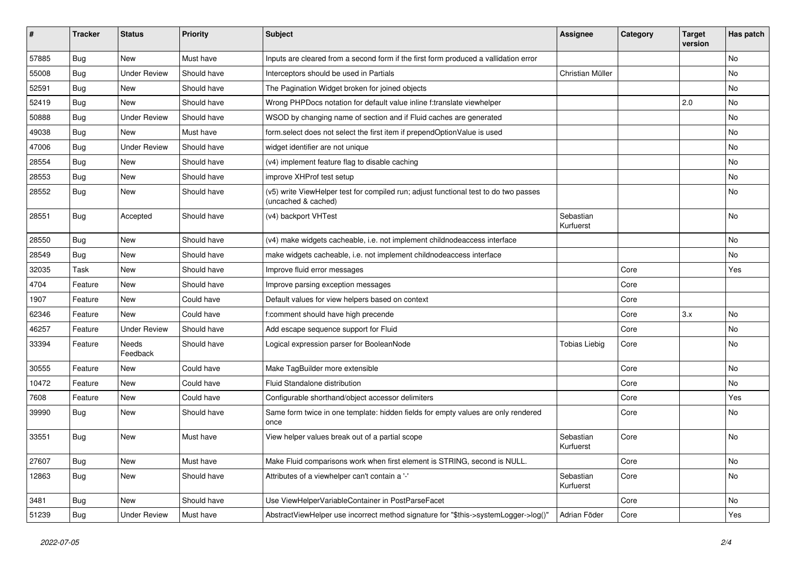| #     | <b>Tracker</b> | <b>Status</b>       | <b>Priority</b> | <b>Subject</b>                                                                                              | <b>Assignee</b>        | Category | <b>Target</b><br>version | Has patch |
|-------|----------------|---------------------|-----------------|-------------------------------------------------------------------------------------------------------------|------------------------|----------|--------------------------|-----------|
| 57885 | Bug            | New                 | Must have       | Inputs are cleared from a second form if the first form produced a vallidation error                        |                        |          |                          | <b>No</b> |
| 55008 | Bug            | <b>Under Review</b> | Should have     | Interceptors should be used in Partials                                                                     | Christian Müller       |          |                          | No        |
| 52591 | Bug            | New                 | Should have     | The Pagination Widget broken for joined objects                                                             |                        |          |                          | No        |
| 52419 | Bug            | New                 | Should have     | Wrong PHPDocs notation for default value inline f:translate viewhelper                                      |                        |          | 2.0                      | No        |
| 50888 | Bug            | <b>Under Review</b> | Should have     | WSOD by changing name of section and if Fluid caches are generated                                          |                        |          |                          | No        |
| 49038 | Bug            | New                 | Must have       | form.select does not select the first item if prependOptionValue is used                                    |                        |          |                          | No        |
| 47006 | Bug            | <b>Under Review</b> | Should have     | widget identifier are not unique                                                                            |                        |          |                          | No        |
| 28554 | <b>Bug</b>     | New                 | Should have     | (v4) implement feature flag to disable caching                                                              |                        |          |                          | No        |
| 28553 | Bug            | New                 | Should have     | improve XHProf test setup                                                                                   |                        |          |                          | No        |
| 28552 | Bug            | New                 | Should have     | (v5) write ViewHelper test for compiled run; adjust functional test to do two passes<br>(uncached & cached) |                        |          |                          | No        |
| 28551 | Bug            | Accepted            | Should have     | (v4) backport VHTest                                                                                        | Sebastian<br>Kurfuerst |          |                          | No        |
| 28550 | Bug            | <b>New</b>          | Should have     | (v4) make widgets cacheable, i.e. not implement childnodeaccess interface                                   |                        |          |                          | <b>No</b> |
| 28549 | Bug            | New                 | Should have     | make widgets cacheable, i.e. not implement childnodeaccess interface                                        |                        |          |                          | No        |
| 32035 | Task           | New                 | Should have     | Improve fluid error messages                                                                                |                        | Core     |                          | Yes       |
| 4704  | Feature        | New                 | Should have     | Improve parsing exception messages                                                                          |                        | Core     |                          |           |
| 1907  | Feature        | New                 | Could have      | Default values for view helpers based on context                                                            |                        | Core     |                          |           |
| 62346 | Feature        | <b>New</b>          | Could have      | f:comment should have high precende                                                                         |                        | Core     | 3.x                      | <b>No</b> |
| 46257 | Feature        | <b>Under Review</b> | Should have     | Add escape sequence support for Fluid                                                                       |                        | Core     |                          | No        |
| 33394 | Feature        | Needs<br>Feedback   | Should have     | Logical expression parser for BooleanNode                                                                   | <b>Tobias Liebig</b>   | Core     |                          | No        |
| 30555 | Feature        | New                 | Could have      | Make TagBuilder more extensible                                                                             |                        | Core     |                          | No        |
| 10472 | Feature        | New                 | Could have      | <b>Fluid Standalone distribution</b>                                                                        |                        | Core     |                          | No        |
| 7608  | Feature        | New                 | Could have      | Configurable shorthand/object accessor delimiters                                                           |                        | Core     |                          | Yes       |
| 39990 | Bug            | New                 | Should have     | Same form twice in one template: hidden fields for empty values are only rendered<br>once                   |                        | Core     |                          | No        |
| 33551 | Bug            | New                 | Must have       | View helper values break out of a partial scope                                                             | Sebastian<br>Kurfuerst | Core     |                          | <b>No</b> |
| 27607 | Bug            | New                 | Must have       | Make Fluid comparisons work when first element is STRING, second is NULL.                                   |                        | Core     |                          | No        |
| 12863 | <b>Bug</b>     | New                 | Should have     | Attributes of a viewhelper can't contain a '-'                                                              | Sebastian<br>Kurfuerst | Core     |                          | No        |
| 3481  | Bug            | New                 | Should have     | Use ViewHelperVariableContainer in PostParseFacet                                                           |                        | Core     |                          | No        |
| 51239 | Bug            | <b>Under Review</b> | Must have       | AbstractViewHelper use incorrect method signature for "\$this->systemLogger->log()"                         | Adrian Föder           | Core     |                          | Yes       |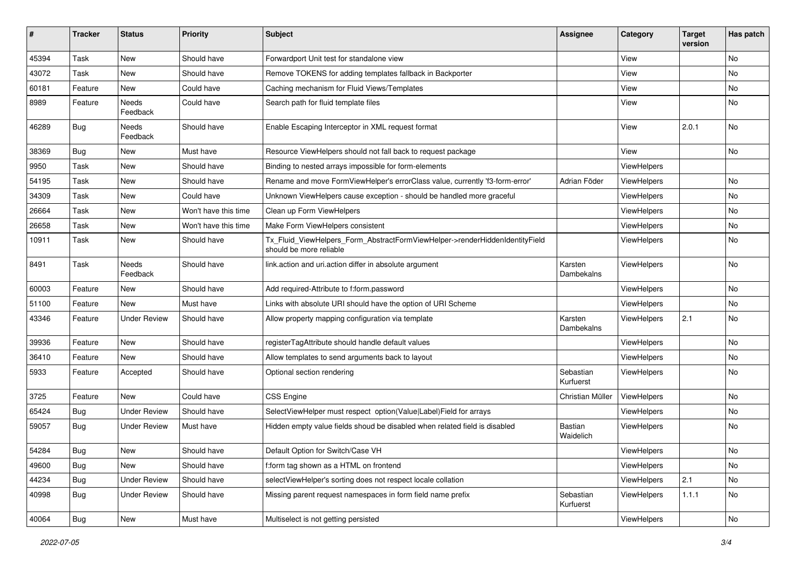| #     | <b>Tracker</b> | <b>Status</b>            | <b>Priority</b>      | <b>Subject</b>                                                                                         | Assignee               | Category           | <b>Target</b><br>version | Has patch                    |
|-------|----------------|--------------------------|----------------------|--------------------------------------------------------------------------------------------------------|------------------------|--------------------|--------------------------|------------------------------|
| 45394 | Task           | New                      | Should have          | Forwardport Unit test for standalone view                                                              |                        | View               |                          | <b>No</b>                    |
| 43072 | Task           | New                      | Should have          | Remove TOKENS for adding templates fallback in Backporter                                              |                        | View               |                          | No                           |
| 60181 | Feature        | New                      | Could have           | Caching mechanism for Fluid Views/Templates                                                            |                        | View               |                          | No                           |
| 8989  | Feature        | <b>Needs</b><br>Feedback | Could have           | Search path for fluid template files                                                                   |                        | View               |                          | No                           |
| 46289 | Bug            | Needs<br>Feedback        | Should have          | Enable Escaping Interceptor in XML request format                                                      |                        | View               | 2.0.1                    | No                           |
| 38369 | Bug            | New                      | Must have            | Resource ViewHelpers should not fall back to request package                                           |                        | View               |                          | No                           |
| 9950  | Task           | New                      | Should have          | Binding to nested arrays impossible for form-elements                                                  |                        | ViewHelpers        |                          |                              |
| 54195 | Task           | New                      | Should have          | Rename and move FormViewHelper's errorClass value, currently 'f3-form-error'                           | Adrian Föder           | ViewHelpers        |                          | <b>No</b>                    |
| 34309 | Task           | New                      | Could have           | Unknown ViewHelpers cause exception - should be handled more graceful                                  |                        | ViewHelpers        |                          | No                           |
| 26664 | Task           | <b>New</b>               | Won't have this time | Clean up Form ViewHelpers                                                                              |                        | ViewHelpers        |                          | No                           |
| 26658 | Task           | New                      | Won't have this time | Make Form ViewHelpers consistent                                                                       |                        | ViewHelpers        |                          | No                           |
| 10911 | Task           | New                      | Should have          | Tx_Fluid_ViewHelpers_Form_AbstractFormViewHelper->renderHiddenIdentityField<br>should be more reliable |                        | <b>ViewHelpers</b> |                          | <b>No</b>                    |
| 8491  | Task           | Needs<br>Feedback        | Should have          | link.action and uri.action differ in absolute argument                                                 | Karsten<br>Dambekalns  | ViewHelpers        |                          | <b>No</b>                    |
| 60003 | Feature        | New                      | Should have          | Add required-Attribute to f:form.password                                                              |                        | ViewHelpers        |                          | No                           |
| 51100 | Feature        | New                      | Must have            | Links with absolute URI should have the option of URI Scheme                                           |                        | ViewHelpers        |                          | No                           |
| 43346 | Feature        | <b>Under Review</b>      | Should have          | Allow property mapping configuration via template                                                      | Karsten<br>Dambekalns  | ViewHelpers        | 2.1                      | <b>No</b>                    |
| 39936 | Feature        | New                      | Should have          | registerTagAttribute should handle default values                                                      |                        | ViewHelpers        |                          | No                           |
| 36410 | Feature        | New                      | Should have          | Allow templates to send arguments back to layout                                                       |                        | ViewHelpers        |                          | No                           |
| 5933  | Feature        | Accepted                 | Should have          | Optional section rendering                                                                             | Sebastian<br>Kurfuerst | ViewHelpers        |                          | <b>No</b>                    |
| 3725  | Feature        | New                      | Could have           | <b>CSS Engine</b>                                                                                      | Christian Müller       | ViewHelpers        |                          | No                           |
| 65424 | Bug            | <b>Under Review</b>      | Should have          | SelectViewHelper must respect option(Value Label)Field for arrays                                      |                        | ViewHelpers        |                          | No                           |
| 59057 | Bug            | <b>Under Review</b>      | Must have            | Hidden empty value fields shoud be disabled when related field is disabled                             | Bastian<br>Waidelich   | ViewHelpers        |                          | <b>No</b>                    |
| 54284 | <b>Bug</b>     | New                      | Should have          | Default Option for Switch/Case VH                                                                      |                        | ViewHelpers        |                          | $\operatorname{\mathsf{No}}$ |
| 49600 | Bug            | New                      | Should have          | f:form tag shown as a HTML on frontend                                                                 |                        | ViewHelpers        |                          | No                           |
| 44234 | Bug            | <b>Under Review</b>      | Should have          | selectViewHelper's sorting does not respect locale collation                                           |                        | ViewHelpers        | 2.1                      | No                           |
| 40998 | Bug            | <b>Under Review</b>      | Should have          | Missing parent request namespaces in form field name prefix                                            | Sebastian<br>Kurfuerst | ViewHelpers        | 1.1.1                    | No                           |
| 40064 | <b>Bug</b>     | New                      | Must have            | Multiselect is not getting persisted                                                                   |                        | ViewHelpers        |                          | No                           |